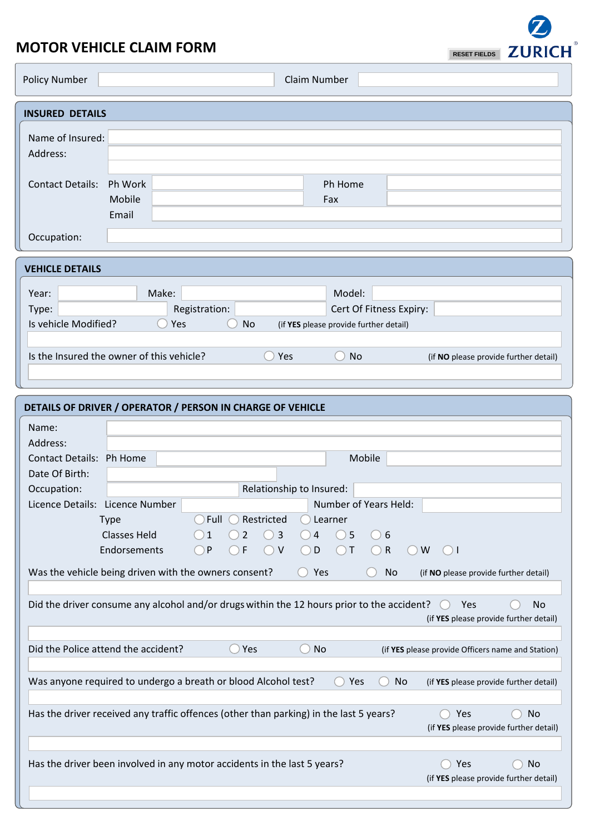# **MOTOR VEHICLE CLAIM FORM**

|                                        | <b><i>NOTOR VEHICLE CLAIM FORM</i></b>                                                                             | <b>RESET FIELDS</b> | $^{\circ}$<br><b>ZURICH</b> |
|----------------------------------------|--------------------------------------------------------------------------------------------------------------------|---------------------|-----------------------------|
| <b>Policy Number</b>                   | Claim Number                                                                                                       |                     |                             |
| <b>INSURED DETAILS</b>                 |                                                                                                                    |                     |                             |
| Name of Insured:<br>Address:           |                                                                                                                    |                     |                             |
| <b>Contact Details:</b>                | Ph Home<br>Ph Work<br>Mobile<br>Fax<br>Email                                                                       |                     |                             |
| Occupation:                            |                                                                                                                    |                     |                             |
| <b>VEHICLE DETAILS</b>                 |                                                                                                                    |                     |                             |
| Year:<br>Type:<br>Is vehicle Modified? | Make:<br>Model:<br>Cert Of Fitness Expiry:<br>Registration:<br>Yes<br>No<br>(if YES please provide further detail) |                     |                             |

67

| Is the Insured the owner of this vehicle? | Yes | `N∩∶ | (if NO please provide further detail) |
|-------------------------------------------|-----|------|---------------------------------------|
|                                           |     |      |                                       |

| DETAILS OF DRIVER / OPERATOR / PERSON IN CHARGE OF VEHICLE                                                                                                    |                     |      |            |                          |                      |                       |   |     |                                                     |
|---------------------------------------------------------------------------------------------------------------------------------------------------------------|---------------------|------|------------|--------------------------|----------------------|-----------------------|---|-----|-----------------------------------------------------|
| Name:                                                                                                                                                         |                     |      |            |                          |                      |                       |   |     |                                                     |
| Address:                                                                                                                                                      |                     |      |            |                          |                      |                       |   |     |                                                     |
| Contact Details: Ph Home                                                                                                                                      |                     |      |            |                          |                      | Mobile                |   |     |                                                     |
| Date Of Birth:                                                                                                                                                |                     |      |            |                          |                      |                       |   |     |                                                     |
| Occupation:                                                                                                                                                   |                     |      |            | Relationship to Insured: |                      |                       |   |     |                                                     |
| Licence Details: Licence Number                                                                                                                               |                     |      |            |                          |                      | Number of Years Held: |   |     |                                                     |
|                                                                                                                                                               | <b>Type</b>         | Full | Restricted |                          | Learner              |                       |   |     |                                                     |
|                                                                                                                                                               | <b>Classes Held</b> | 1    | 2          | 3<br>$\overline{4}$      | 5<br>С.              | 6                     |   |     |                                                     |
|                                                                                                                                                               | Endorsements        | P    | F          | D<br>$\vee$              | $\top$<br>$\sqrt{2}$ | $\mathsf{R}$          | W |     |                                                     |
| Was the vehicle being driven with the owners consent?                                                                                                         |                     |      |            |                          | Yes                  | No                    |   |     | (if NO please provide further detail)               |
|                                                                                                                                                               |                     |      |            |                          |                      |                       |   |     |                                                     |
| Did the driver consume any alcohol and/or drugs within the 12 hours prior to the accident?<br><b>No</b><br>Yes<br>(<br>(if YES please provide further detail) |                     |      |            |                          |                      |                       |   |     |                                                     |
| Did the Police attend the accident?                                                                                                                           |                     |      | Yes        |                          | <b>No</b>            |                       |   |     | (if YES please provide Officers name and Station)   |
| Was anyone required to undergo a breath or blood Alcohol test?<br>Yes<br><b>No</b><br>(if YES please provide further detail)                                  |                     |      |            |                          |                      |                       |   |     |                                                     |
| Has the driver received any traffic offences (other than parking) in the last 5 years?                                                                        |                     |      |            |                          |                      |                       |   | Yes | <b>No</b><br>(if YES please provide further detail) |
| Has the driver been involved in any motor accidents in the last 5 years?                                                                                      |                     |      |            |                          |                      |                       |   | Yes | <b>No</b><br>(if YES please provide further detail) |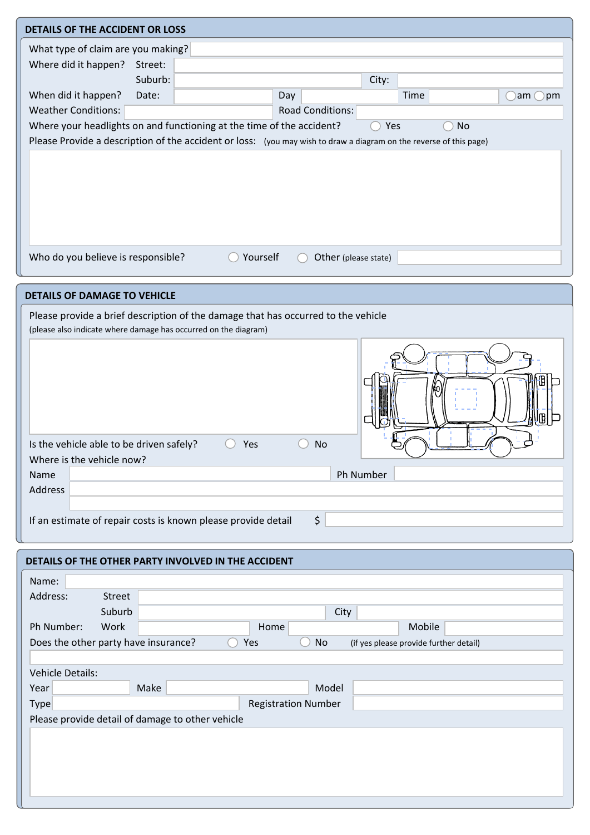| DETAILS OF THE ACCIDENT OR LOSS                                                                                                            |  |  |  |  |  |  |
|--------------------------------------------------------------------------------------------------------------------------------------------|--|--|--|--|--|--|
| What type of claim are you making?                                                                                                         |  |  |  |  |  |  |
| Where did it happen?<br>Street:                                                                                                            |  |  |  |  |  |  |
| Suburb:<br>City:                                                                                                                           |  |  |  |  |  |  |
| When did it happen?<br>Day<br>Time<br>Date:<br>am<br>pm                                                                                    |  |  |  |  |  |  |
| <b>Weather Conditions:</b><br><b>Road Conditions:</b>                                                                                      |  |  |  |  |  |  |
| Where your headlights on and functioning at the time of the accident?<br>Yes<br><b>No</b>                                                  |  |  |  |  |  |  |
| Please Provide a description of the accident or loss: (you may wish to draw a diagram on the reverse of this page)                         |  |  |  |  |  |  |
|                                                                                                                                            |  |  |  |  |  |  |
|                                                                                                                                            |  |  |  |  |  |  |
|                                                                                                                                            |  |  |  |  |  |  |
|                                                                                                                                            |  |  |  |  |  |  |
|                                                                                                                                            |  |  |  |  |  |  |
|                                                                                                                                            |  |  |  |  |  |  |
| Who do you believe is responsible?<br>Yourself<br>Other (please state)                                                                     |  |  |  |  |  |  |
|                                                                                                                                            |  |  |  |  |  |  |
| <b>DETAILS OF DAMAGE TO VEHICLE</b>                                                                                                        |  |  |  |  |  |  |
| Please provide a brief description of the damage that has occurred to the vehicle                                                          |  |  |  |  |  |  |
| (please also indicate where damage has occurred on the diagram)                                                                            |  |  |  |  |  |  |
|                                                                                                                                            |  |  |  |  |  |  |
|                                                                                                                                            |  |  |  |  |  |  |
|                                                                                                                                            |  |  |  |  |  |  |
|                                                                                                                                            |  |  |  |  |  |  |
|                                                                                                                                            |  |  |  |  |  |  |
|                                                                                                                                            |  |  |  |  |  |  |
| Is the vehicle able to be driven safely?<br><b>No</b><br>Yes                                                                               |  |  |  |  |  |  |
| Where is the vehicle now?                                                                                                                  |  |  |  |  |  |  |
| Ph Number<br>Name<br>Address                                                                                                               |  |  |  |  |  |  |
|                                                                                                                                            |  |  |  |  |  |  |
| \$<br>If an estimate of repair costs is known please provide detail                                                                        |  |  |  |  |  |  |
|                                                                                                                                            |  |  |  |  |  |  |
|                                                                                                                                            |  |  |  |  |  |  |
| DETAILS OF THE OTHER PARTY INVOLVED IN THE ACCIDENT                                                                                        |  |  |  |  |  |  |
| Name:                                                                                                                                      |  |  |  |  |  |  |
| Address:<br><b>Street</b>                                                                                                                  |  |  |  |  |  |  |
| Suburb<br>City                                                                                                                             |  |  |  |  |  |  |
| Work<br>Mobile<br>Ph Number:<br>Home<br>Does the other party have insurance?<br>Yes<br><b>No</b><br>(if yes please provide further detail) |  |  |  |  |  |  |
|                                                                                                                                            |  |  |  |  |  |  |
| Vehicle Details:                                                                                                                           |  |  |  |  |  |  |
| Make<br>Model<br>Year                                                                                                                      |  |  |  |  |  |  |
| <b>Registration Number</b><br><b>Type</b>                                                                                                  |  |  |  |  |  |  |
| Please provide detail of damage to other vehicle                                                                                           |  |  |  |  |  |  |
|                                                                                                                                            |  |  |  |  |  |  |
|                                                                                                                                            |  |  |  |  |  |  |
|                                                                                                                                            |  |  |  |  |  |  |
|                                                                                                                                            |  |  |  |  |  |  |
|                                                                                                                                            |  |  |  |  |  |  |